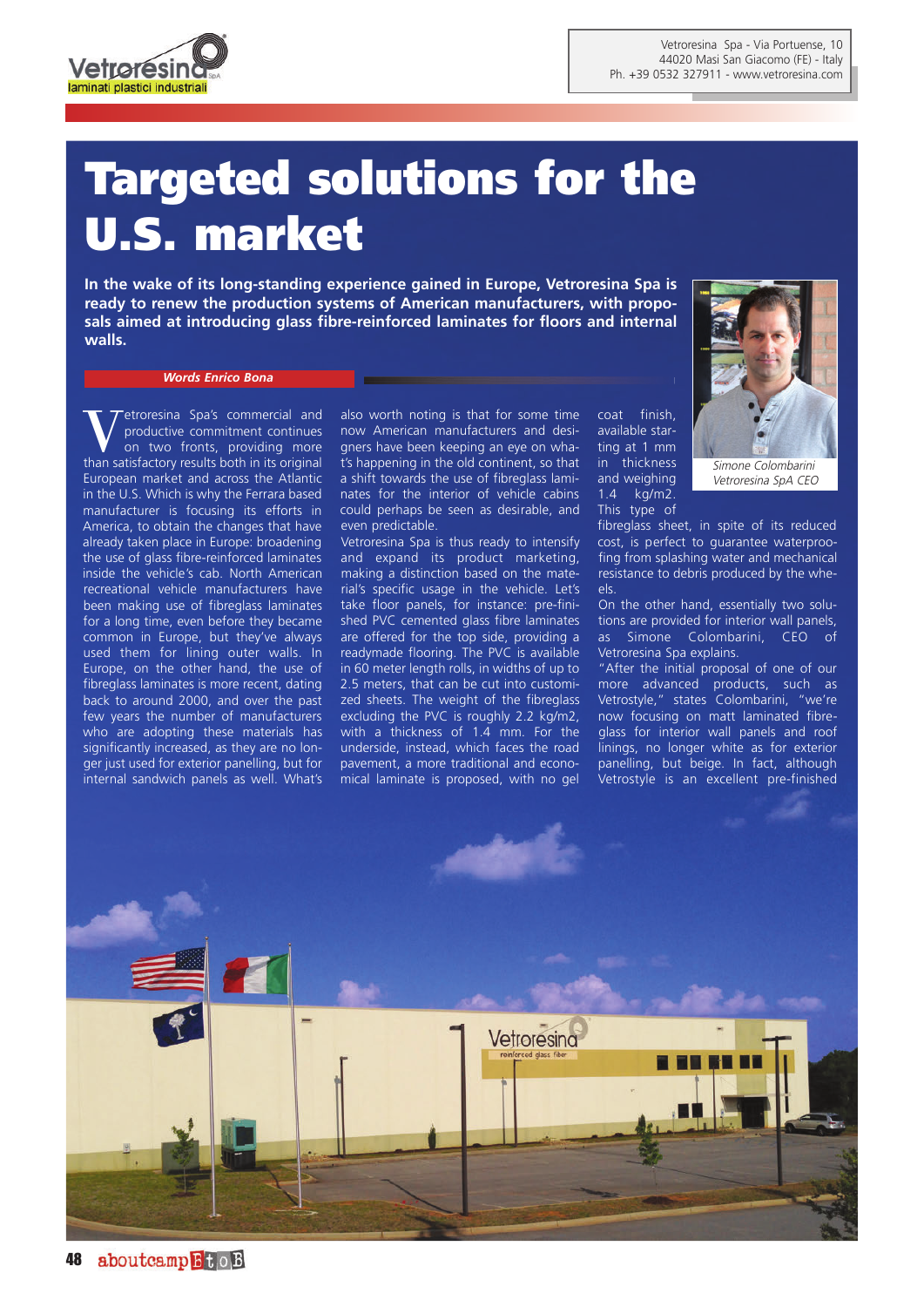

## **Targeted solutions for the U.S. market**

**In the wake of its long-standing experience gained in Europe, Vetroresina Spa is ready to renew the production systems of American manufacturers, with proposals aimed at introducing glass fibre-reinforced laminates for floors and internal walls.**

## *Words Enrico Bona*

Vetroresina Spa's commercial and<br>productive commitment continues<br>on two fronts, providing more productive commitment continues on two fronts, providing more than satisfactory results both in its original European market and across the Atlantic in the U.S. Which is why the Ferrara based manufacturer is focusing its efforts in America, to obtain the changes that have already taken place in Europe: broadening the use of glass fibre-reinforced laminates inside the vehicle's cab. North American recreational vehicle manufacturers have been making use of fibreglass laminates for a long time, even before they became common in Europe, but they've always used them for lining outer walls. In Europe, on the other hand, the use of fibreglass laminates is more recent, dating back to around 2000, and over the past few years the number of manufacturers who are adopting these materials has significantly increased, as they are no longer just used for exterior panelling, but for internal sandwich panels as well. What's

also worth noting is that for some time now American manufacturers and designers have been keeping an eye on what's happening in the old continent, so that a shift towards the use of fibreglass laminates for the interior of vehicle cabins could perhaps be seen as desirable, and even predictable.

Vetroresina Spa is thus ready to intensify and expand its product marketing, making a distinction based on the material's specific usage in the vehicle. Let's take floor panels, for instance: pre-finished PVC cemented glass fibre laminates are offered for the top side, providing a readymade flooring. The PVC is available in 60 meter length rolls, in widths of up to 2.5 meters, that can be cut into customized sheets. The weight of the fibreglass excluding the PVC is roughly 2.2 kg/m2, with a thickness of 1.4 mm. For the underside, instead, which faces the road pavement, a more traditional and economical laminate is proposed, with no gel

coat finish, available starting at 1 mm in thickness and weighing 1.4 kg/m2. This type of



Vetroresina SpA CEO

fibreglass sheet, in spite of its reduced cost, is perfect to guarantee waterproofing from splashing water and mechanical resistance to debris produced by the wheels.

On the other hand, essentially two solutions are provided for interior wall panels, as Simone Colombarini, CEO of Vetroresina Spa explains.

"After the initial proposal of one of our more advanced products, such as Vetrostyle," states Colombarini, "we're now focusing on matt laminated fibreglass for interior wall panels and roof linings, no longer white as for exterior panelling, but beige. In fact, although Vetrostyle is an excellent pre-finished